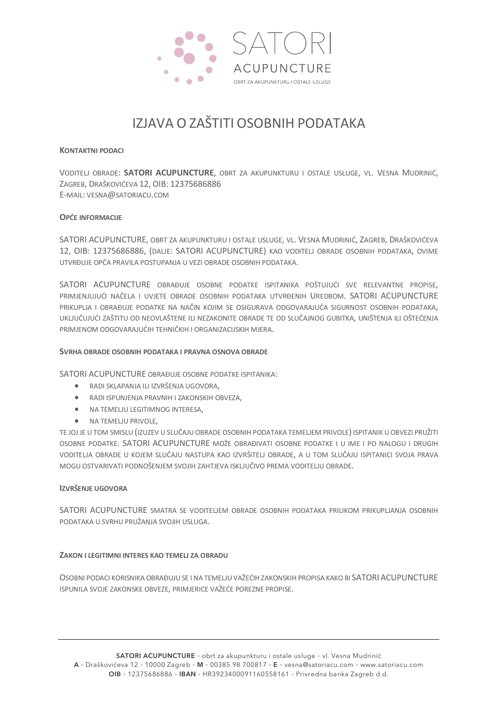

# IZJAVA O ZAŠTITI OSOBNIH PODATAKA

# **KONTAKTNI PODACI**

VODITELJ OBRADE: **SATORI ACUPUNCTURE**, OBRT ZA AKUPUNKTURU I OSTALE USLUGE, VL. VESNA MUDRINIĆ, ZAGREB, DRAŠKOVIĆEVA 12, OIB: 12375686886 E-MAIL: VESNA@SATORIACU.COM

# **OPĆE INFORMACIJE**

SATORI ACUPUNCTURE, OBRT ZA AKUPUNKTURU I OSTALE USLUGE, VL. VESNA MUDRINIĆ, ZAGREB, DRAŠKOVIĆEVA 12, OIB: 12375686886, (DALJE: SATORI ACUPUNCTURE) KAO VODITELJ OBRADE OSOBNIH PODATAKA, OVIME UTVRĐUJE OPĆA PRAVILA POSTUPANJA U VEZI OBRADE OSOBNIH PODATAKA.

SATORI ACUPUNCTURE OBRAĐUJE OSOBNE PODATKE ISPITANIKA POŠTUJUĆI SVE RELEVANTNE PROPISE, PRIMJENJUJUĆI NAČELA I UVJETE OBRADE OSOBNIH PODATAKA UTVRĐENIH UREDBOM. SATORI ACUPUNCTURE PRIKUPLJA I OBRAĐUJE PODATKE NA NAČIN KOJIM SE OSIGURAVA ODGOVARAJUĆA SIGURNOST OSOBNIH PODATAKA, UKLJUČUJUĆI ZAŠTITU OD NEOVLAŠTENE ILI NEZAKONITE OBRADE TE OD SLUČAJNOG GUBITKA, UNIŠTENJA ILI OŠTEĆENJA PRIMJENOM ODGOVARAJUĆIH TEHNIČKIH I ORGANIZACIJSKIH MJERA.

# **SVRHA OBRADE OSOBNIH PODATAKA I PRAVNA OSNOVA OBRADE**

SATORI ACUPUNCTURE OBRAĐUJE OSOBNE PODATKE ISPITANIKA:

- RADI SKLAPANJA ILI IZVRŠENJA UGOVORA,
- RADI ISPUNJENJA PRAVNIH I ZAKONSKIH OBVEZA,
- NA TEMELJU LEGITIMNOG INTERESA,
- NA TEMELJU PRIVOLE,

TE JOJ JE U TOM SMISLU (IZUZEV U SLUČAJU OBRADE OSOBNIH PODATAKA TEMELJEM PRIVOLE)ISPITANIK U OBVEZI PRUŽITI OSOBNE PODATKE. SATORI ACUPUNCTURE MOŽE OBRAĐIVATI OSOBNE PODATKE I U IME I PO NALOGU I DRUGIH VODITELJA OBRADE U KOJEM SLUČAJU NASTUPA KAO IZVRŠITELJ OBRADE, A U TOM SLUČAJU ISPITANICI SVOJA PRAVA MOGU OSTVARIVATI PODNOŠENJEM SVOJIH ZAHTJEVA ISKLJUČIVO PREMA VODITELJU OBRADE.

# **IZVRŠENJE UGOVORA**

SATORI ACUPUNCTURE SMATRA SE VODITELJEM OBRADE OSOBNIH PODATAKA PRILIKOM PRIKUPLJANJA OSOBNIH PODATAKA U SVRHU PRUŽANJA SVOJIH USLUGA.

# **ZAKON I LEGITIMNI INTERES KAO TEMELJ ZA OBRADU**

OSOBNI PODACI KORISNIKA OBRAĐUJU SE I NA TEMELJU VAŽEĆIH ZAKONSKIH PROPISA KAKO BI SATORI ACUPUNCTURE ISPUNILA SVOJE ZAKONSKE OBVEZE, PRIMJERICE VAŽEĆE POREZNE PROPISE.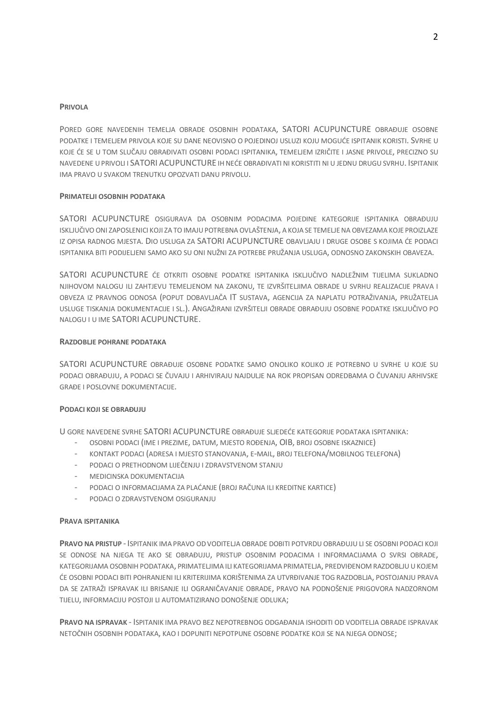#### **PRIVOLA**

PORED GORE NAVEDENIH TEMELJA OBRADE OSOBNIH PODATAKA, SATORI ACUPUNCTURE OBRAĐUJE OSOBNE PODATKE I TEMELJEM PRIVOLA KOJE SU DANE NEOVISNO O POJEDINOJ USLUZI KOJU MOGUĆE ISPITANIK KORISTI. SVRHE U KOJE ĆE SE U TOM SLUČAJU OBRAĐIVATI OSOBNI PODACI ISPITANIKA, TEMELJEM IZRIČITE I JASNE PRIVOLE, PRECIZNO SU NAVEDENE U PRIVOLI I SATORI ACUPUNCTURE IH NEĆE OBRAĐIVATI NI KORISTITI NI U JEDNU DRUGU SVRHU. ISPITANIK IMA PRAVO U SVAKOM TRENUTKU OPOZVATI DANU PRIVOLU.

#### PRIMATELJI OSOBNIH PODATAKA

SATORI ACUPUNCTURE OSIGURAVA DA OSOBNIM PODACIMA POJEDINE KATEGORIJE ISPITANIKA OBRAĐUJU ISKLJUČIVO ONI ZAPOSLENICI KOJI ZA TO IMAJU POTREBNA OVLAŠTENJA, A KOJA SE TEMELJE NA OBVEZAMA KOJE PROIZLAZE IZ OPISA RADNOG MJESTA. DIO USLUGA ZA SATORI ACUPUNCTURE OBAVLJAJU I DRUGE OSOBE S KOJIMA ĆE PODACI ISPITANIKA BITI PODIJELJENI SAMO AKO SU ONI NUŽNI ZA POTREBE PRUŽANJA USLUGA. ODNOSNO ZAKONSKIH OBAVEZA.

SATORI ACUPUNCTURE ĆE OTKRITI OSOBNE PODATKE ISPITANIKA ISKLJUČIVO NADLEŽNIM TIJELIMA SUKLADNO NJIHOVOM NALOGU ILI ZAHTJEVU TEMELJENOM NA ZAKONU, TE IZVRŠITELJIMA OBRADE U SVRHU REALIZACIJE PRAVA I OBVEZA IZ PRAVNOG ODNOSA (POPUT DOBAVLJAČA IT SUSTAVA, AGENCIJA ZA NAPLATU POTRAŽIVANJA, PRUŽATELJA USLUGE TISKANJA DOKUMENTACIJE I SL.). ANGAŽIRANI IZVRŠITELJI OBRADE OBRAĐUJU OSOBNE PODATKE ISKLJUČIVO PO NALOGU I U IME SATORI ACUPUNCTURE.

#### RAZDOBLJE POHRANE PODATAKA

SATORI ACUPUNCTURE OBRAĐUJE OSOBNE PODATKE SAMO ONOLIKO KOLIKO JE POTREBNO U SVRHE U KOJE SU PODACI OBRAĐUJU, A PODACI SE ČUVAJU I ARHIVIRAJU NAJDULJE NA ROK PROPISAN ODREDBAMA O ČUVANJU ARHIVSKE GRAĐE I POSLOVNE DOKLIMENTACIJE.

# PODACI KOJI SE OBRAĐUJU

U GORE NAVEDENE SVRHE SATORI ACUPUNCTURE OBRAĐUJE SLJEDEĆE KATEGORIJE PODATAKA ISPITANIKA:

- OSOBNI PODACI (IME I PREZIME, DATUM, MJESTO ROĐENJA, OIB, BROJ OSOBNE ISKAZNICE)
- KONTAKT PODACI (ADRESA I MJESTO STANOVANJA, E-MAIL, BROJ TELEFONA/MOBILNOG TELEFONA)
- PODACI O PRETHODNOM LIJEČENJU I ZDRAVSTVENOM STANJU
- MEDICINSKA DOKUMENTACIJA
- PODACI O INFORMACIJAMA ZA PLAĆANJE (BROJ RAČUNA ILI KREDITNE KARTICE)
- PODACI O ZDRAVSTVENOM OSIGURANJU

#### **PRAVA ISPITANIKA**

PRAVO NA PRISTUP - ISPITANIK IMA PRAVO OD VODITELJA OBRADE DOBITI POTVRDU OBRAĐUJU LI SE OSOBNI PODACI KOJI SE ODNOSE NA NJEGA TE AKO SE OBRAĐUJU, PRISTUP OSOBNIM PODACIMA I INFORMACIJAMA O SVRSI OBRADE, KATEGORIJAMA OSOBNIH PODATAKA, PRIMATELJIMA ILI KATEGORIJAMA PRIMATELJA, PREDVIĐENOM RAZDOBLJU U KOJEM ĆE OSOBNI PODACI BITI POHRANJENI ILI KRITERIJIMA KORIŠTENIMA ZA UTVRĐIVANJE TOG RAZDOBLJA, POSTOJANJU PRAVA DA SE ZATRAŽI ISPRAVAK ILI BRISANJE ILI OGRANIČAVANJE OBRADE, PRAVO NA PODNOŠENJE PRIGOVORA NADZORNOM TIJELU, INFORMACIJU POSTOJI LI AUTOMATIZIRANO DONOŠENJE ODLUKA;

PRAVO NA ISPRAVAK - ISPITANIK IMA PRAVO BEZ NEPOTREBNOG ODGAĐANJA ISHODITI OD VODITELJA OBRADE ISPRAVAK NETOČNIH OSOBNIH PODATAKA, KAO I DOPUNITI NEPOTPUNE OSOBNE PODATKE KOJI SE NA NJEGA ODNOSE;